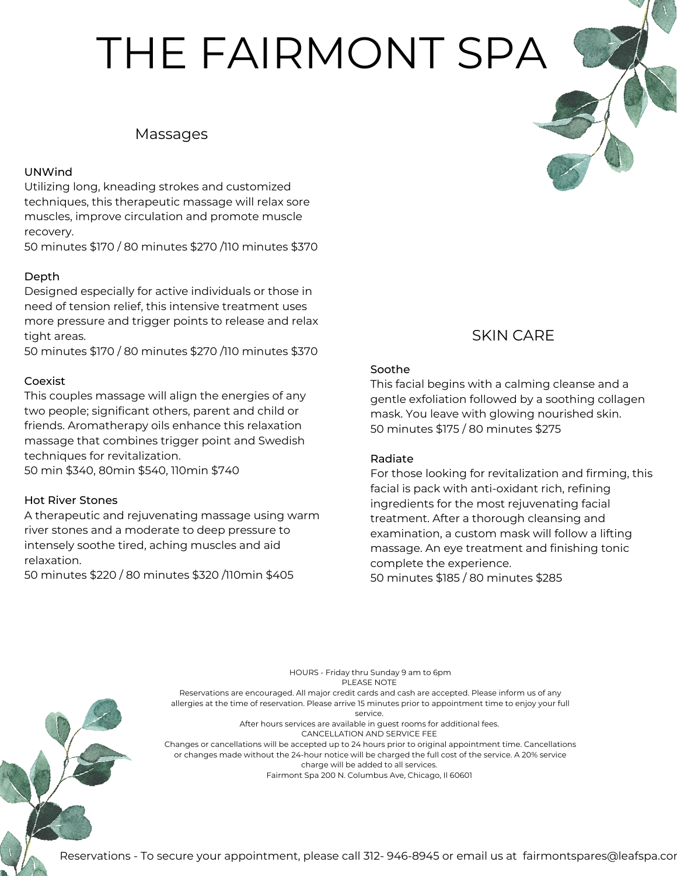# THE FAIRMONT SPA

# Massages

### UNWind

Utilizing long, kneading strokes and customized techniques, this therapeutic massage will relax sore muscles, improve circulation and promote muscle recovery.

50 minutes \$170 / 80 minutes \$270 /110 minutes \$370

### Depth

Designed especially for active individuals or those in need of tension relief, this intensive treatment uses more pressure and trigger points to release and relax tight areas.

50 minutes \$170 / 80 minutes \$270 /110 minutes \$370

### Coexist

This couples massage will align the energies of any two people; significant others, parent and child or friends. Aromatherapy oils enhance this relaxation massage that combines trigger point and Swedish techniques for revitalization.

50 min \$340, 80min \$540, 110min \$740

### Hot River Stones

A therapeutic and rejuvenating massage using warm river stones and a moderate to deep pressure to intensely soothe tired, aching muscles and aid relaxation.

50 minutes \$220 / 80 minutes \$320 /110min \$405

# SKIN CARE

### Soothe

This facial begins with a calming cleanse and a gentle exfoliation followed by a soothing collagen mask. You leave with glowing nourished skin. 50 minutes \$175 / 80 minutes \$275

### Radiate

For those looking for revitalization and firming, this facial is pack with anti-oxidant rich, refining ingredients for the most rejuvenating facial treatment. After a thorough cleansing and examination, a custom mask will follow a lifting massage. An eye treatment and finishing tonic complete the experience. 50 minutes \$185 / 80 minutes \$285

PLEASE NOTE Reservations are encouraged. All major credit cards and cash are accepted. Please inform us of any allergies at the time of reservation. Please arrive 15 minutes prior to appointment time to enjoy your full service. After hours services are available in guest rooms for additional fees. CANCELLATION AND SERVICE FEE Changes or cancellations will be accepted up to 24 hours prior to original appointment time. Cancellations or changes made without the 24-hour notice will be charged the full cost of the service. A 20% service charge will be added to all services.

HOURS - Friday thru Sunday 9 am to 6pm

Fairmont Spa 200 N. Columbus Ave, Chicago, Il 60601

Reservations - To secure your appointment, please call 312- 946-8945 or email us at [fairmontspares@leafspa.com](mailto:fairmontspares@leafspa.com)